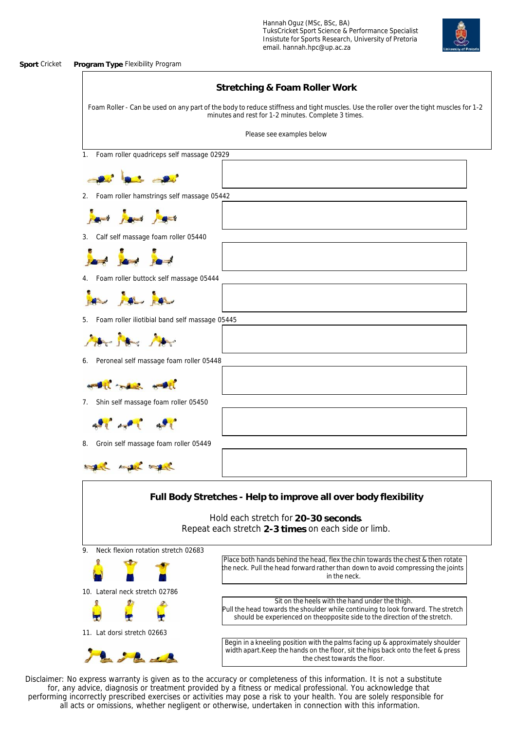## **Sport** Cricket **Program Type** Flexibility Program

|                                                      | Stretching & Foam Roller Work                                                                                                                                                                                     |
|------------------------------------------------------|-------------------------------------------------------------------------------------------------------------------------------------------------------------------------------------------------------------------|
|                                                      | Foam Roller - Can be used on any part of the body to reduce stiffness and tight muscles. Use the roller over the tight muscles for 1-2<br>minutes and rest for 1-2 minutes. Complete 3 times.                     |
|                                                      | Please see examples below                                                                                                                                                                                         |
| Foam roller quadriceps self massage 02929<br>1.      |                                                                                                                                                                                                                   |
|                                                      |                                                                                                                                                                                                                   |
| Foam roller hamstrings self massage 05442<br>2.      |                                                                                                                                                                                                                   |
| $\frac{1}{2}$ and $\frac{1}{2}$ and $\frac{1}{2}$    |                                                                                                                                                                                                                   |
| Calf self massage foam roller 05440                  |                                                                                                                                                                                                                   |
| $\rightarrow$                                        |                                                                                                                                                                                                                   |
| Foam roller buttock self massage 05444               |                                                                                                                                                                                                                   |
| a por                                                |                                                                                                                                                                                                                   |
| Foam roller iliotibial band self massage 05445<br>5. |                                                                                                                                                                                                                   |
| Mar Mar Mar                                          |                                                                                                                                                                                                                   |
| Peroneal self massage foam roller 05448<br>6.        |                                                                                                                                                                                                                   |
| $H_1$                                                |                                                                                                                                                                                                                   |
| Shin self massage foam roller 05450<br>7.            |                                                                                                                                                                                                                   |
| $\mathbf{A} \mathbf{A}$                              |                                                                                                                                                                                                                   |
| Groin self massage foam roller 05449<br>8.           |                                                                                                                                                                                                                   |
| <b><i>CONTRACTOR COMMUNICATION</i></b>               |                                                                                                                                                                                                                   |
|                                                      | Full Body Stretches - Help to improve all over body flexibility                                                                                                                                                   |
|                                                      | Hold each stretch for 20-30 seconds.                                                                                                                                                                              |
|                                                      | Repeat each stretch 2-3 times on each side or limb.                                                                                                                                                               |
| Neck flexion rotation stretch 02683<br>9.            |                                                                                                                                                                                                                   |
|                                                      | Place both hands behind the head, flex the chin towards the chest & then rotate<br>the neck. Pull the head forward rather than down to avoid compressing the joints<br>in the neck.                               |
| 10. Lateral neck stretch 02786                       |                                                                                                                                                                                                                   |
|                                                      | Sit on the heels with the hand under the thigh.<br>Pull the head towards the shoulder while continuing to look forward. The stretch<br>should be experienced on theopposite side to the direction of the stretch. |
| 11. Lat dorsi stretch 02663                          |                                                                                                                                                                                                                   |
| JA de                                                | Begin in a kneeling position with the palms facing up & approximately shoulder<br>width apart. Keep the hands on the floor, sit the hips back onto the feet & press<br>the chest towards the floor.               |

Disclaimer: No express warranty is given as to the accuracy or completeness of this information. It is not a substitute for, any advice, diagnosis or treatment provided by a fitness or medical professional. You acknowledge that performing incorrectly prescribed exercises or activities may pose a risk to your health. You are solely responsible for all acts or omissions, whether negligent or otherwise, undertaken in connection with this information.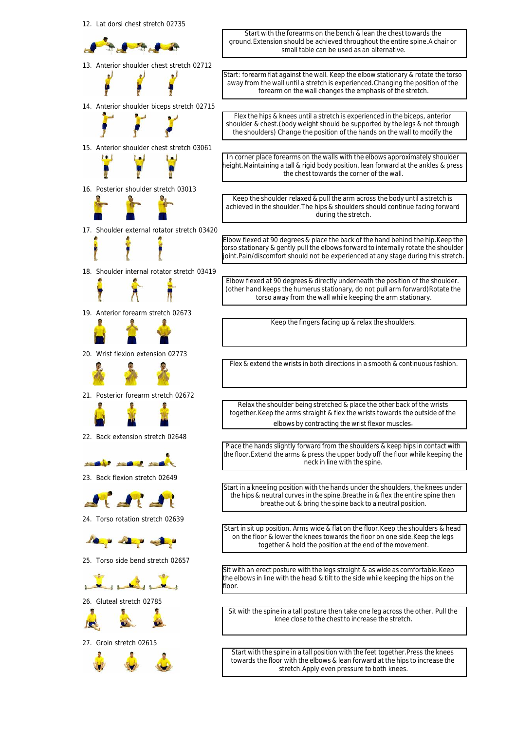